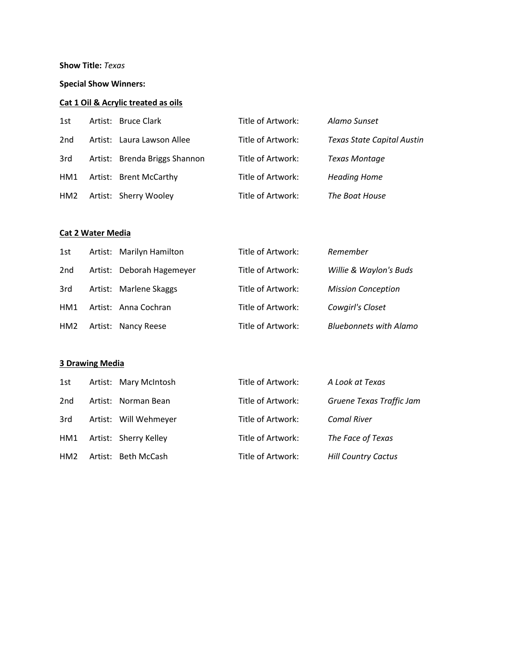### **Show Title:** *Texas*

### **Special Show Winners:**

# **Cat 1 Oil & Acrylic treated as oils**

| 1st             | Artist: Bruce Clark           | Title of Artwork: | Alamo Sunset                      |
|-----------------|-------------------------------|-------------------|-----------------------------------|
| 2nd             | Artist: Laura Lawson Allee    | Title of Artwork: | <b>Texas State Capital Austin</b> |
| 3rd             | Artist: Brenda Briggs Shannon | Title of Artwork: | <b>Texas Montage</b>              |
| HM1             | Artist: Brent McCarthy        | Title of Artwork: | <b>Heading Home</b>               |
| HM <sub>2</sub> | Artist: Sherry Wooley         | Title of Artwork: | The Boat House                    |

### **Cat 2 Water Media**

| 1st             | Artist: Marilyn Hamilton  | Title of Artwork: | Remember                      |
|-----------------|---------------------------|-------------------|-------------------------------|
| 2 <sub>nd</sub> | Artist: Deborah Hagemeyer | Title of Artwork: | Willie & Waylon's Buds        |
| 3rd             | Artist: Marlene Skaggs    | Title of Artwork: | <b>Mission Conception</b>     |
| HM1             | Artist: Anna Cochran      | Title of Artwork: | Cowgirl's Closet              |
| HM <sub>2</sub> | Artist: Nancy Reese       | Title of Artwork: | <b>Bluebonnets with Alamo</b> |

# **3 Drawing Media**

| 1st             | Artist: Mary McIntosh | Title of Artwork: | A Look at Texas            |
|-----------------|-----------------------|-------------------|----------------------------|
| 2nd             | Artist: Norman Bean   | Title of Artwork: | Gruene Texas Traffic Jam   |
| 3rd             | Artist: Will Wehmeyer | Title of Artwork: | <b>Comal River</b>         |
| HM1             | Artist: Sherry Kelley | Title of Artwork: | The Face of Texas          |
| HM <sub>2</sub> | Artist: Beth McCash   | Title of Artwork: | <b>Hill Country Cactus</b> |